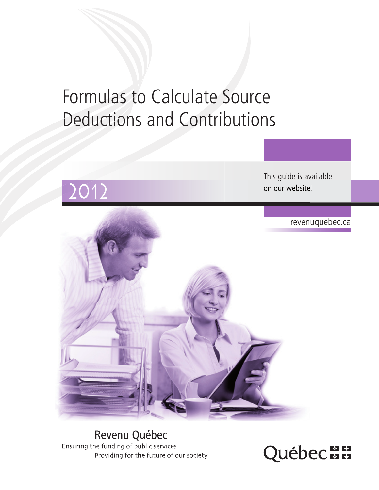# Formulas to Calculate Source Deductions and Contributions



Revenu Québec Ensuring the funding of public services Providing for the future of our society

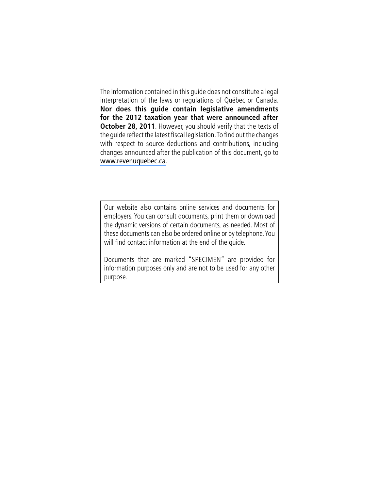The information contained in this guide does not constitute a legal interpretation of the laws or regulations of Québec or Canada. **Nor does this guide contain legislative amendments for the 2012 taxation year that were announced after October 28, 2011**. However, you should verify that the texts of the guide reflect the latest fiscal legislation. To find out the changes with respect to source deductions and contributions, including changes announced after the publication of this document, go to [www.revenuquebec.ca](www.revenu.gouv.qc.ca).

Our website also contains online services and documents for employers. You can consult documents, print them or download the dynamic versions of certain documents, as needed. Most of these documents can also be ordered online or by telephone. You will find contact information at the end of the guide.

Documents that are marked "Specimen" are provided for information purposes only and are not to be used for any other purpose.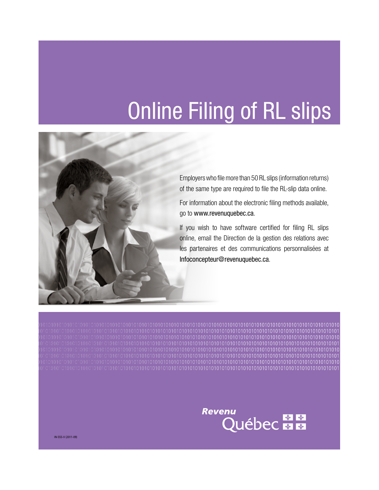# Online Filing of RL slips



Employers who file more than 50 RL slips (information returns) of the same type are required to file the RL-slip data online.

For information about the electronic filing methods available, go to www.revenuquebec.ca.

If you wish to have software certified for filing RL slips online, email the Direction de la gestion des relations avec les partenaires et des communications personnalisées at Infoconcepteur@revenuquebec.ca.

01010101010101010101010101010101010101010101010101010101010101010101010101010101010101010101010101010101010101010101010101010101010 10101010101010101010101010101010101010101010101010101010101010101010101010101010101010101010101010101010101010101010101010101010101 01010101010101010101010101010101010101010101010101010101010101010101010101010101010101010101010101010101010101010101010101010101010 10101010101010101010101010101010101010101010101010101010101010101010101010101010101010101010101010101010101010101010101010101010101 01010101010101010101010101010101010101010101010101010101010101010101010101010101010101010101010101010101010101010101010101010101010 10101010101010101010101010101010101010101010101010101010101010101010101010101010101010101010101010101010101010101010101010101010101 01010101010101010101010101010101010101010101010101010101010101010101010101010101010101010101010101010101010101010101010101010101010 10101010101010101010101010101010101010101010101010101010101010101010101010101010101010101010101010101010101010101010101010101010101



IN-555-V (2011-09)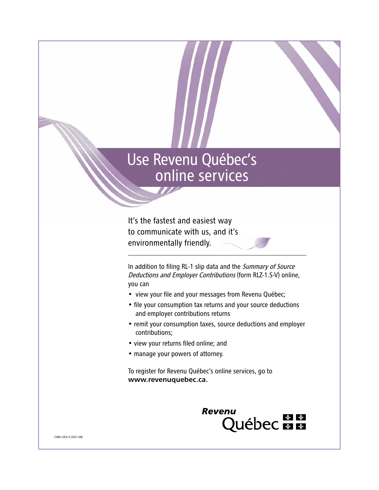# Use Revenu Québec's online services

It's the fastest and easiest way to communicate with us, and it's environmentally friendly.

In addition to filing RL-1 slip data and the Summary of Source Deductions and Employer Contributions (form RLZ-1.S-V) online, you can

- view your file and your messages from Revenu Québec;
- file your consumption tax returns and your source deductions and employer contributions returns
- remit your consumption taxes, source deductions and employer contributions;
- view your returns filed online; and
- manage your powers of attorney.

To register for Revenu Québec's online services, go to www.revenuquebec.ca.



COM-129.E-V (2011-09)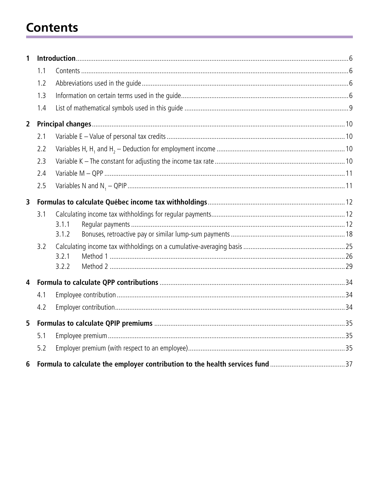# **Contents**

| 1              |     |       |  |
|----------------|-----|-------|--|
|                | 1.1 |       |  |
|                | 1.2 |       |  |
|                | 1.3 |       |  |
|                | 1.4 |       |  |
| $\overline{2}$ |     |       |  |
|                | 2.1 |       |  |
|                | 2.2 |       |  |
|                | 2.3 |       |  |
|                | 2.4 |       |  |
|                | 2.5 |       |  |
| 3              |     |       |  |
|                | 3.1 |       |  |
|                |     | 3.1.1 |  |
|                |     | 3.1.2 |  |
|                | 3.2 |       |  |
|                |     | 3.2.1 |  |
|                |     | 3.2.2 |  |
| 4              |     |       |  |
|                | 4.1 |       |  |
|                | 4.2 |       |  |
| 5              |     |       |  |
|                | 5.1 |       |  |
|                | 5.2 |       |  |
| 6              |     |       |  |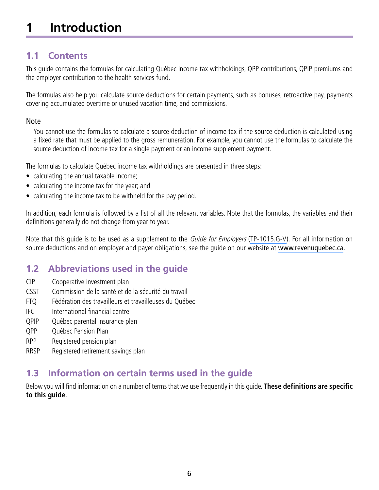# <span id="page-5-0"></span>**1 Introduction**

# **1.1 Contents**

This guide contains the formulas for calculating Québec income tax withholdings, QPP contributions, QPIP premiums and the employer contribution to the health services fund.

The formulas also help you calculate source deductions for certain payments, such as bonuses, retroactive pay, payments covering accumulated overtime or unused vacation time, and commissions.

#### Note

You cannot use the formulas to calculate a source deduction of income tax if the source deduction is calculated using a fixed rate that must be applied to the gross remuneration. For example, you cannot use the formulas to calculate the source deduction of income tax for a single payment or an income supplement payment.

The formulas to calculate Québec income tax withholdings are presented in three steps:

- calculating the annual taxable income;
- calculating the income tax for the year; and
- calculating the income tax to be withheld for the pay period.

In addition, each formula is followed by a list of all the relevant variables. Note that the formulas, the variables and their definitions generally do not change from year to year.

Note that this quide is to be used as a supplement to the *Guide for Employers* [\(TP-1015.G-V\)](http://www.revenu.gouv.qc.ca/en/sepf/formulaires/tp/tp-1015_g.aspx). For all information on source deductions and on employer and payer obligations, see the guide on our website at [www.revenuquebec.ca](www.revenu.gouv.qc.ca).

# **1.2 Abbreviations used in the guide**

- CIP Cooperative investment plan
- CSST Commission de la santé et de la sécurité du travail
- FTQ Fédération des travailleurs et travailleuses du Québec
- IFC International financial centre
- QPIP Québec parental insurance plan
- QPP Québec Pension Plan
- RPP Registered pension plan
- RRSP Registered retirement savings plan

# **1.3 Information on certain terms used in the guide**

Below you will find information on a number of terms that we use frequently in this guide. **These definitions are specific to this guide**.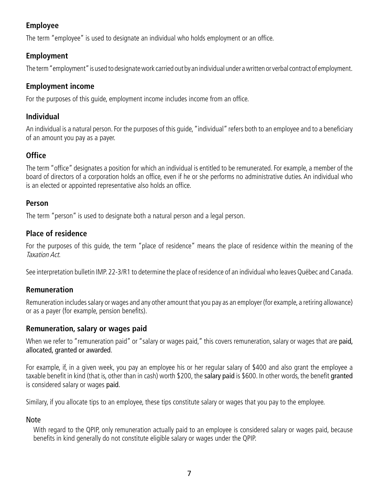# **Employee**

The term "employee" is used to designate an individual who holds employment or an office.

#### **Employment**

The term "employment" is used to designate work carried out by an individual under a written or verbal contract of employment.

#### **Employment income**

For the purposes of this guide, employment income includes income from an office.

#### **Individual**

An individual is a natural person. For the purposes of this guide, "individual" refers both to an employee and to a beneficiary of an amount you pay as a payer.

# **Office**

The term "office" designates a position for which an individual is entitled to be remunerated. For example, a member of the board of directors of a corporation holds an office, even if he or she performs no administrative duties. An individual who is an elected or appointed representative also holds an office.

#### **Person**

The term "person" is used to designate both a natural person and a legal person.

#### **Place of residence**

For the purposes of this guide, the term "place of residence" means the place of residence within the meaning of the Taxation Act.

See interpretation bulletin IMP. 22-3/R1 to determine the place of residence of an individual who leaves Québec and Canada.

#### **Remuneration**

Remuneration includes salary or wages and any other amount that you pay as an employer (for example, a retiring allowance) or as a payer (for example, pension benefits).

#### **Remuneration, salary or wages paid**

When we refer to "remuneration paid" or "salary or wages paid," this covers remuneration, salary or wages that are paid, allocated, granted or awarded.

For example, if, in a given week, you pay an employee his or her regular salary of \$400 and also grant the employee a taxable benefit in kind (that is, other than in cash) worth \$200, the salary paid is \$600. In other words, the benefit granted is considered salary or wages paid.

Similary, if you allocate tips to an employee, these tips constitute salary or wages that you pay to the employee.

#### Note

With regard to the QPIP, only remuneration actually paid to an employee is considered salary or wages paid, because benefits in kind generally do not constitute eligible salary or wages under the QPIP.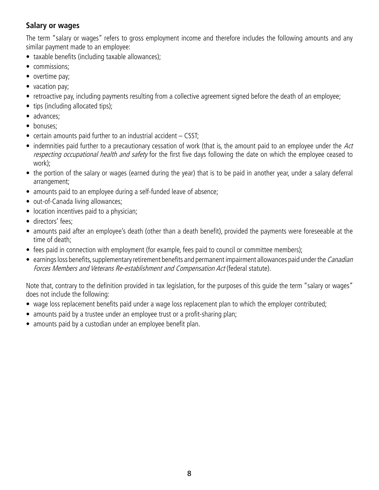#### **Salary or wages**

The term "salary or wages" refers to gross employment income and therefore includes the following amounts and any similar payment made to an employee:

- taxable benefits (including taxable allowances);
- commissions:
- overtime pay;
- vacation pay;
- retroactive pay, including payments resulting from a collective agreement signed before the death of an employee;
- tips (including allocated tips):
- advances;
- bonuses:
- $\bullet$  certain amounts paid further to an industrial accident  $-$  CSST;
- indemnities paid further to a precautionary cessation of work (that is, the amount paid to an employee under the  $Act$ respecting occupational health and safety for the first five days following the date on which the employee ceased to work);
- the portion of the salary or wages (earned during the year) that is to be paid in another year, under a salary deferral arrangement;
- amounts paid to an employee during a self-funded leave of absence;
- out-of-Canada living allowances;
- location incentives paid to a physician;
- directors' fees:
- amounts paid after an employee's death (other than a death benefit), provided the payments were foreseeable at the time of death;
- fees paid in connection with employment (for example, fees paid to council or committee members);
- $\bullet$  earnings loss benefits, supplementary retirement benefits and permanent impairment allowances paid under the *Canadian* Forces Members and Veterans Re-establishment and Compensation Act (federal statute).

Note that, contrary to the definition provided in tax legislation, for the purposes of this guide the term "salary or wages" does not include the following:

- wage loss replacement benefits paid under a wage loss replacement plan to which the employer contributed;
- amounts paid by a trustee under an employee trust or a profit-sharing plan;
- amounts paid by a custodian under an employee benefit plan.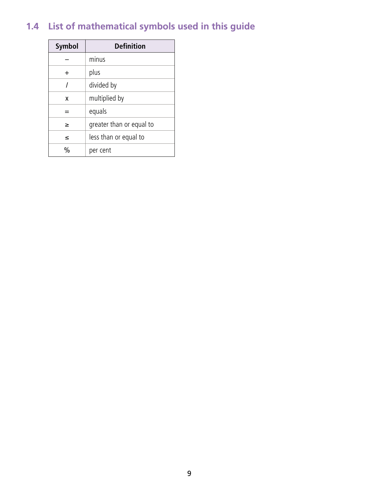# <span id="page-8-0"></span>**1.4 List of mathematical symbols used in this guide**

| Symbol    | <b>Definition</b>        |
|-----------|--------------------------|
|           | minus                    |
| $\ddot{}$ | plus                     |
|           | divided by               |
| X         | multiplied by            |
|           | equals                   |
| ≥         | greater than or equal to |
| ≤         | less than or equal to    |
| %         | per cent                 |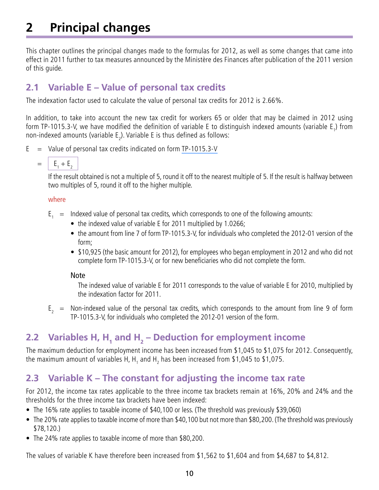# <span id="page-9-0"></span>**2 Principal changes**

This chapter outlines the principal changes made to the formulas for 2012, as well as some changes that came into effect in 2011 further to tax measures announced by the Ministère des Finances after publication of the 2011 version of this guide.

# **2.1 Variable E – Value of personal tax credits**

The indexation factor used to calculate the value of personal tax credits for 2012 is 2.66%.

In addition, to take into account the new tax credit for workers 65 or older that may be claimed in 2012 using form TP-1015.3-V, we have modified the definition of variable E to distinguish indexed amounts (variable E<sub>1</sub>) from non-indexed amounts (variable  $\mathsf{E}_2$ ). Variable E is thus defined as follows:

- $E =$  Value of personal tax credits indicated on form [TP-1015.3-V](http://www.revenu.gouv.qc.ca/en/sepf/formulaires/tp/tp-1015_3.aspx)
	- $= |E_1 + E_2|$

If the result obtained is not a multiple of 5, round it off to the nearest multiple of 5. If the result is halfway between two multiples of 5, round it off to the higher multiple.

#### where

- $E_1$  = Indexed value of personal tax credits, which corresponds to one of the following amounts:
	- the indexed value of variable E for 2011 multiplied by 1.0266;
	- the amount from line 7 of form TP-1015.3-V, for individuals who completed the 2012-01 version of the form;
	- \$10,925 (the basic amount for 2012), for employees who began employment in 2012 and who did not complete form TP-1015.3-V, or for new beneficiaries who did not complete the form.

#### Note

The indexed value of variable E for 2011 corresponds to the value of variable E for 2010, multiplied by the indexation factor for 2011.

 $E<sub>2</sub>$  = Non-indexed value of the personal tax credits, which corresponds to the amount from line 9 of form TP-1015.3-V, for individuals who completed the 2012-01 version of the form.

# **2.2** Variables H, H<sub>1</sub> and H<sub>2</sub> – Deduction for employment income

The maximum deduction for employment income has been increased from \$1,045 to \$1,075 for 2012. Consequently, the maximum amount of variables H, H<sub>1</sub> and H<sub>2</sub> has been increased from \$1,045 to \$1,075.

# **2.3 Variable K – The constant for adjusting the income tax rate**

For 2012, the income tax rates applicable to the three income tax brackets remain at 16%, 20% and 24% and the thresholds for the three income tax brackets have been indexed:

- The 16% rate applies to taxable income of \$40,100 or less. (The threshold was previously \$39,060)
- The 20% rate applies to taxable income of more than \$40,100 but not more than \$80,200. (The threshold was previously \$78,120.)
- The 24% rate applies to taxable income of more than \$80,200.

The values of variable K have therefore been increased from \$1,562 to \$1,604 and from \$4,687 to \$4,812.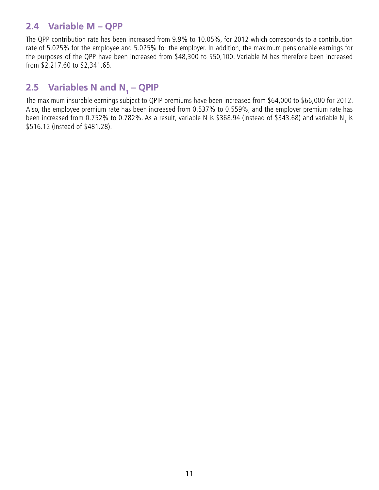# <span id="page-10-0"></span>**2.4 Variable M – QPP**

The QPP contribution rate has been increased from 9.9% to 10.05%, for 2012 which corresponds to a contribution rate of 5.025% for the employee and 5.025% for the employer. In addition, the maximum pensionable earnings for the purposes of the QPP have been increased from \$48,300 to \$50,100. Variable M has therefore been increased from \$2,217.60 to \$2,341.65.

# **2.5** Variables N and N<sub>1</sub> – QPIP

The maximum insurable earnings subject to QPIP premiums have been increased from \$64,000 to \$66,000 for 2012. Also, the employee premium rate has been increased from 0.537% to 0.559%, and the employer premium rate has been increased from 0.752% to 0.782%. As a result, variable N is \$368.94 (instead of \$343.68) and variable N<sub>1</sub> is \$516.12 (instead of \$481.28).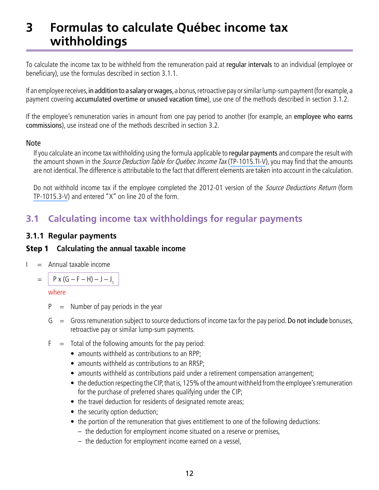# <span id="page-11-0"></span>**3 Formulas to calculate Québec income tax withholdings**

To calculate the income tax to be withheld from the remuneration paid at regular intervals to an individual (employee or beneficiary), use the formulas described in section 3.1.1.

If an employee receives, in addition to a salary or wages, a bonus, retroactive pay or similar lump-sum payment (for example, a payment covering accumulated overtime or unused vacation time), use one of the methods described in section 3.1.2.

If the employee's remuneration varies in amount from one pay period to another (for example, an employee who earns commissions), use instead one of the methods described in section 3.2.

#### Note

If you calculate an income tax withholding using the formula applicable to regular payments and compare the result with the amount shown in the *Source Deduction Table for Québec Income Tax* ([TP-1015.TI-V](http://www.revenu.gouv.qc.ca/en/sepf/formulaires/tp/tp-1015_ti.aspx)), you may find that the amounts are not identical. The difference is attributable to the fact that different elements are taken into account in the calculation.

Do not withhold income tax if the employee completed the 2012-01 version of the Source Deductions Return (form [TP‑1015.3-V\)](http://www.revenu.gouv.qc.ca/en/sepf/formulaires/tp/tp-1015_3.aspx) and entered "X" on line 20 of the form.

# **3.1 Calculating income tax withholdings for regular payments**

#### **3.1.1 Regular payments**

#### Step 1 **Calculating the annual taxable income**

 $I =$  Annual taxable income

 $= | P x (G - F - H) - J - J<sub>1</sub> |$ 

- $P =$  Number of pay periods in the year
- $G =$  Gross remuneration subject to source deductions of income tax for the pay period. Do not include bonuses, retroactive pay or similar lump-sum payments.
- $F =$  Total of the following amounts for the pay period:
	- amounts withheld as contributions to an RPP;
	- amounts withheld as contributions to an RRSP;
	- amounts withheld as contributions paid under a retirement compensation arrangement;
	- the deduction respecting the CIP, that is, 125% of the amount withheld from the employee's remuneration for the purchase of preferred shares qualifying under the CIP;
	- the travel deduction for residents of designated remote areas;
	- the security option deduction;
	- the portion of the remuneration that gives entitlement to one of the following deductions:
		- the deduction for employment income situated on a reserve or premises,
		- the deduction for employment income earned on a vessel,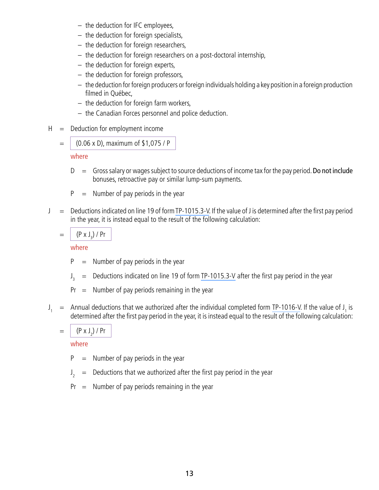- the deduction for IFC employees,
- the deduction for foreign specialists,
- the deduction for foreign researchers,
- the deduction for foreign researchers on a post-doctoral internship,
- the deduction for foreign experts,
- the deduction for foreign professors,
- the deduction for foreign producers or foreign individuals holding a key position in a foreign production filmed in Québec,
- the deduction for foreign farm workers,
- the Canadian Forces personnel and police deduction.
- $H =$  Deduction for employment income

$$
=
$$
 (0.06 x D), maximum of \$1,075 / P

where

- $D =$  Gross salary or wages subject to source deductions of income tax for the pay period. Do not include bonuses, retroactive pay or similar lump-sum payments.
- $P =$  Number of pay periods in the year
- $J =$  Deductions indicated on line 19 of form [TP-1015.3-V.](http://www.revenu.gouv.qc.ca/en/sepf/formulaires/tp/tp-1015_3.aspx) If the value of J is determined after the first pay period in the year, it is instead equal to the result of the following calculation:

$$
= \int (P \times J_3) / Pr
$$

where

- $P =$  Number of pay periods in the year
- $J_{2} =$ Deductions indicated on line 19 of form [TP-1015.3-V](http://www.revenu.gouv.qc.ca/en/sepf/formulaires/tp/tp-1015_3.aspx) after the first pay period in the year
- $Pr =$  Number of pay periods remaining in the year
- $J_1$  = Annual deductions that we authorized after the individual completed form [TP-1016-V](http://www.revenu.gouv.qc.ca/en/sepf/formulaires/tp/tp-1016.aspx). If the value of  $J_1$  is determined after the first pay period in the year, it is instead equal to the result of the following calculation:

$$
= \left[ \frac{(\mathsf{P} \times \mathsf{J}_2) / \mathsf{P} \mathsf{r}}{\mathsf{I} \times \mathsf{P} \times \mathsf{P} \mathsf{P} \times \mathsf{P} \times \mathsf{P} \times \mathsf{P} \times \mathsf{P} \times \mathsf{P} \times \mathsf{P} \times \mathsf{P} \times \mathsf{P} \times \mathsf{P} \times \mathsf{P} \times \mathsf{P} \times \mathsf{P} \times \mathsf{P} \times \mathsf{P} \times \mathsf{P} \times \mathsf{P} \times \mathsf{P} \times \mathsf{P} \times \mathsf{P} \times \mathsf{P} \times \mathsf{P} \times \mathsf{P} \times \mathsf{P} \times \mathsf{P} \times \mathsf{P} \times \mathsf{P} \times \mathsf{P} \times \mathsf{P} \times \mathsf{P} \times \mathsf{P} \times \mathsf{P} \times \mathsf{P} \times \mathsf{P} \times \mathsf{P} \times \mathsf{P} \times \mathsf{P} \times \mathsf{P} \times \mathsf{P} \times \mathsf{P} \times \mathsf{P} \times \mathsf{P} \times \mathsf{P} \times \mathsf{P} \times \mathsf{P} \times \mathsf{P} \times \mathsf{P} \times \mathsf{P} \times \mathsf{P} \times \mathsf{P} \times \mathsf{P} \times \mathsf{P} \times \mathsf{P} \times \mathsf{P} \times \mathsf{P} \times \mathsf{P} \times \mathsf{P} \times \mathsf{P} \times \mathsf{P} \times \mathsf{P} \times \mathsf{P} \times \mathsf{P} \times \mathsf{P} \times \mathsf{P} \times \mathsf{P} \times \mathsf{P} \times \mathsf{P} \times \mathsf{P} \times \mathsf{P} \times \mathsf{P} \times \mathsf{P} \times \mathsf{P} \times \mathsf{P} \times \mathsf{P} \times \mathsf{P} \times \mathsf{P} \times \mathsf{P} \times \mathsf{P} \times \mathsf{P} \times \mathsf{P} \times \mathsf{P} \times \mathsf{P} \times \mathsf{P} \times \mathsf{P} \times \mathsf{P} \times \mathsf{P} \times \mathsf{P} \times \mathsf{P
$$

- $P =$  Number of pay periods in the year
- $J_{\gamma}$  $=$  Deductions that we authorized after the first pay period in the year
- $Pr =$  Number of pay periods remaining in the year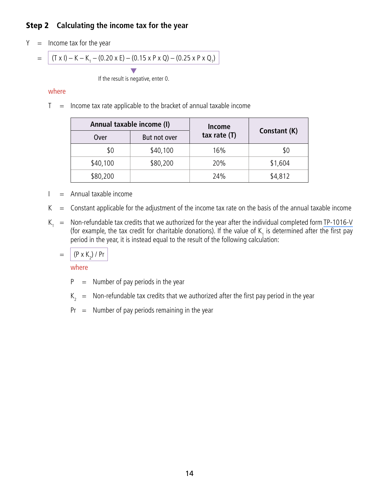# Step 2 **Calculating the income tax for the year**

 $Y =$  Income tax for the year

= 
$$
(T \times I) - K - K_1 - (0.20 \times E) - (0.15 \times P \times Q) - (0.25 \times P \times Q_1)
$$

**マ** If the result is negative, enter 0.

#### where

 $T =$  Income tax rate applicable to the bracket of annual taxable income

|          | Annual taxable income (I) |                |              |
|----------|---------------------------|----------------|--------------|
| Over     | But not over              | tax rate $(T)$ | Constant (K) |
| \$0      | \$40,100                  | 16%            | \$0          |
| \$40,100 | \$80,200                  | 20%            | \$1,604      |
| \$80,200 |                           | 24%            | \$4,812      |

- $I =$  Annual taxable income
- $K =$  Constant applicable for the adjustment of the income tax rate on the basis of the annual taxable income
- $K_1$  = Non-refundable tax credits that we authorized for the year after the individual completed form [TP-1016-V](http://www.revenu.gouv.qc.ca/en/sepf/formulaires/tp/tp-1016.aspx) (for example, the tax credit for charitable donations). If the value of  $\mathsf{K}^-_1$  is determined after the first pay period in the year, it is instead equal to the result of the following calculation:

$$
= | (P \times K_2) / Pr
$$

- $P =$  Number of pay periods in the year
- $K<sub>2</sub>$  = Non-refundable tax credits that we authorized after the first pay period in the year
- $Pr =$  Number of pay periods remaining in the year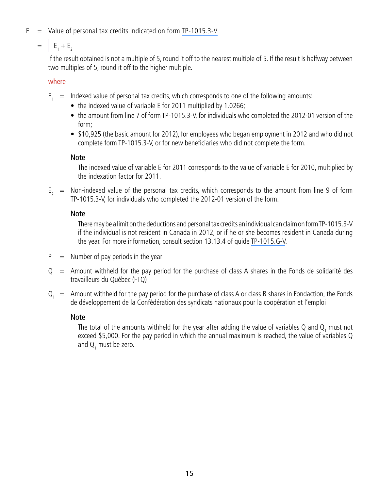- $E =$  Value of personal tax credits indicated on form [TP-1015.3-V](http://www.revenu.gouv.qc.ca/en/sepf/formulaires/tp/tp-1015_3.aspx)
	- $= |E_1 + E_2|$

If the result obtained is not a multiple of 5, round it off to the nearest multiple of 5. If the result is halfway between two multiples of 5, round it off to the higher multiple.

#### where

- $E_1$  = Indexed value of personal tax credits, which corresponds to one of the following amounts:
	- the indexed value of variable E for 2011 multiplied by 1.0266;
	- the amount from line 7 of form TP-1015.3-V, for individuals who completed the 2012-01 version of the form;
	- \$10,925 (the basic amount for 2012), for employees who began employment in 2012 and who did not complete form TP-1015.3-V, or for new beneficiaries who did not complete the form.

#### Note

The indexed value of variable E for 2011 corresponds to the value of variable E for 2010, multiplied by the indexation factor for 2011.

 $E<sub>2</sub>$  = Non-indexed value of the personal tax credits, which corresponds to the amount from line 9 of form TP-1015.3-V, for individuals who completed the 2012-01 version of the form.

### Note

There may be a limit on the deductions and personal tax credits an individual can claim on form TP‑1015.3-V if the individual is not resident in Canada in 2012, or if he or she becomes resident in Canada during the year. For more information, consult section 13.13.4 of guide [TP-1015.G-V.](http://www.revenu.gouv.qc.ca/en/sepf/formulaires/tp/tp-1015_g.aspx)

- $P =$  Number of pay periods in the year
- $Q =$  Amount withheld for the pay period for the purchase of class A shares in the Fonds de solidarité des travailleurs du Québec (FTQ)
- $Q_1$  = Amount withheld for the pay period for the purchase of class A or class B shares in Fondaction, the Fonds de développement de la Confédération des syndicats nationaux pour la coopération et l'emploi

#### Note

The total of the amounts withheld for the year after adding the value of variables Q and  $\mathsf{Q}_1$  must not exceed \$5,000. For the pay period in which the annual maximum is reached, the value of variables Q and  $Q_1$  must be zero.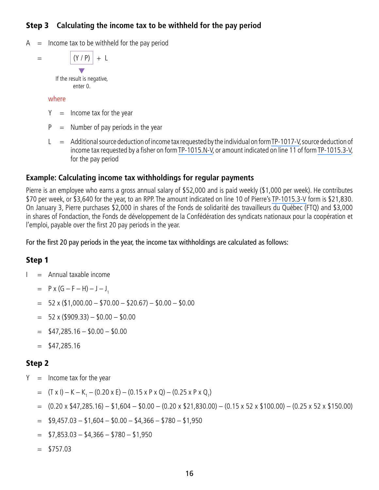# Step 3 **Calculating the income tax to be withheld for the pay period**

 $A =$  Income tax to be withheld for the pay period

 $=$   $|(Y / P)| + L$ **マ** 

If the result is negative, enter 0.

#### where

- $Y =$  Income tax for the year
- $P =$  Number of pay periods in the year
- $L =$  Additional source deduction of income tax requested by the individual on form [TP-1017-V,](http://www.revenu.gouv.qc.ca/en/sepf/formulaires/tp/tp-1017.aspx) source deduction of income tax requested by a fisher on form [TP-1015.N-V,](http://www.revenu.gouv.qc.ca/en/sepf/formulaires/tp/tp-1015_n.aspx) or amount indicated on line 11 of form [TP-1015.3-V,](http://www.revenu.gouv.qc.ca/en/sepf/formulaires/tp/tp-1015_3.aspx) for the pay period

#### **Example: Calculating income tax withholdings for regular payments**

Pierre is an employee who earns a gross annual salary of \$52,000 and is paid weekly (\$1,000 per week). He contributes \$70 per week, or \$3,640 for the year, to an RPP. The amount indicated on line 10 of Pierre's [TP-1015.3-V](http://www.revenu.gouv.qc.ca/en/sepf/formulaires/tp/tp-1015_3.aspx) form is \$21,830. On January 3, Pierre purchases \$2,000 in shares of the Fonds de solidarité des travailleurs du Québec (FTQ) and \$3,000 in shares of Fondaction, the Fonds de développement de la Confédération des syndicats nationaux pour la coopération et l'emploi, payable over the first 20 pay periods in the year.

For the first 20 pay periods in the year, the income tax withholdings are calculated as follows:

#### Step 1

- $I =$  Annual taxable income
	- $=$  P x (G F H) J J<sub>1</sub>
	- $= 52 \times (\$1,000.00 \$70.00 \$20.67) \$0.00 \$0.00$
	- $= 52 \times (15909.33) 150.00 150.00$
	- $=$  \$47,285.16 \$0.00 \$0.00
	- $=$  \$47,285.16

#### Step 2

- $Y =$  Income tax for the year
	- $=$   $(T \times I) K K_1 (0.20 \times E) (0.15 \times P \times Q) (0.25 \times P \times Q_1)$
	- $= (0.20 \times $47,285.16) $1,604 $0.00 (0.20 \times $21,830.00) (0.15 \times 52 \times $100.00) (0.25 \times 52 \times $150.00)$
	- $=$  \$9,457.03 \$1,604 \$0.00 \$4,366 \$780 \$1,950
	- $=$  \$7,853.03 \$4,366 \$780 \$1,950
	- $=$  \$757.03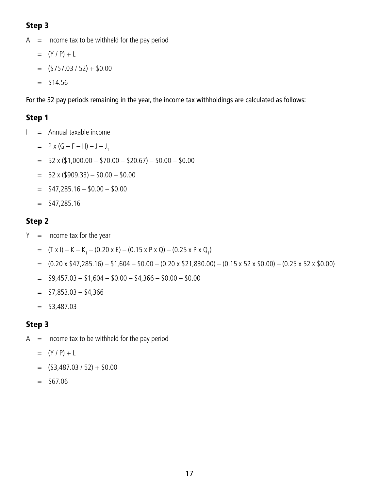# Step 3

- $A =$  Income tax to be withheld for the pay period
	- $= (Y / P) + L$
	- $=$  (\$757.03 / 52) + \$0.00
	- $=$  \$14.56

For the 32 pay periods remaining in the year, the income tax withholdings are calculated as follows:

# Step 1

- $I =$  Annual taxable income
	- $=$  P x (G F H) J J<sub>1</sub>
	- $= 52 \times (\$1,000.00 \$70.00 \$20.67) \$0.00 \$0.00$
	- $= 52 \times (\$909.33) \$0.00 \$0.00$
	- $=$  \$47,285.16 \$0.00 \$0.00
	- $=$  \$47,285.16

# Step 2

- $Y =$  Income tax for the year
	- $=$  (T x I) K K<sub>1</sub> (0.20 x E) (0.15 x P x Q) (0.25 x P x Q<sub>1</sub>)
	- $= (0.20 \times $47,285.16) $1,604 $0.00 (0.20 \times $21,830.00) (0.15 \times 52 \times $0.00) (0.25 \times 52 \times $0.00)$
	- $=$  \$9,457.03 \$1,604 \$0.00 \$4,366 \$0.00 \$0.00
	- $=$  \$7,853.03 \$4,366
	- $=$  \$3,487.03

# Step 3

- $A =$  Income tax to be withheld for the pay period
	- $= (Y / P) + L$
	- $=$  (\$3,487.03 / 52) + \$0.00
	- $=$  \$67.06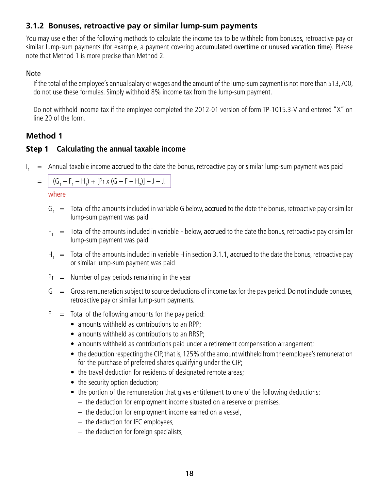#### <span id="page-17-0"></span>**3.1.2 Bonuses, retroactive pay or similar lump-sum payments**

You may use either of the following methods to calculate the income tax to be withheld from bonuses, retroactive pay or similar lump-sum payments (for example, a payment covering accumulated overtime or unused vacation time). Please note that Method 1 is more precise than Method 2.

#### Note

If the total of the employee's annual salary or wages and the amount of the lump-sum payment is not more than \$13,700, do not use these formulas. Simply withhold 8% income tax from the lump-sum payment.

Do not withhold income tax if the employee completed the 2012-01 version of form TP-1015.3-V and entered "X" on line 20 of the form.

# **Method 1**

### Step 1 **Calculating the annual taxable income**

 $\mathsf{I}_{\mathsf{I}}$  $=$  Annual taxable income accrued to the date the bonus, retroactive pay or similar lump-sum payment was paid

|  | = $(G_1 - F_1 - H_1) + [Pr X (G - F - H_2)] - J - J_1$ |
|--|--------------------------------------------------------|
|--|--------------------------------------------------------|

- $G_1 =$  Total of the amounts included in variable G below, accrued to the date the bonus, retroactive pay or similar lump-sum payment was paid
- $F_1 =$  Total of the amounts included in variable F below, accrued to the date the bonus, retroactive pay or similar lump-sum payment was paid
- $H_1 =$  Total of the amounts included in variable H in section 3.1.1, accrued to the date the bonus, retroactive pay or similar lump-sum payment was paid
- $Pr =$  Number of pay periods remaining in the year
- $G =$  Gross remuneration subject to source deductions of income tax for the pay period. Do not include bonuses, retroactive pay or similar lump-sum payments.
- $F =$  Total of the following amounts for the pay period:
	- amounts withheld as contributions to an RPP:
	- amounts withheld as contributions to an RRSP;
	- amounts withheld as contributions paid under a retirement compensation arrangement;
	- the deduction respecting the CIP, that is, 125% of the amount withheld from the employee's remuneration for the purchase of preferred shares qualifying under the CIP;
	- the travel deduction for residents of designated remote areas;
	- the security option deduction;
	- the portion of the remuneration that gives entitlement to one of the following deductions:
		- the deduction for employment income situated on a reserve or premises,
		- the deduction for employment income earned on a vessel,
		- the deduction for IFC employees,
		- the deduction for foreign specialists,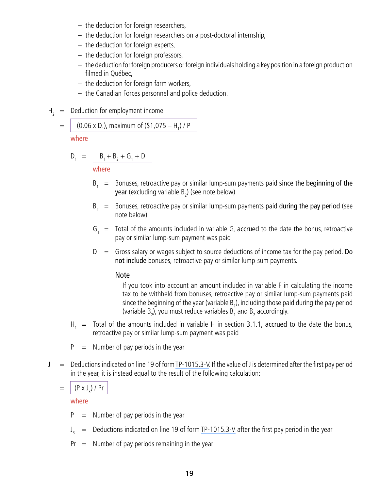- the deduction for foreign researchers,
- the deduction for foreign researchers on a post-doctoral internship,
- the deduction for foreign experts,
- the deduction for foreign professors,
- the deduction for foreign producers or foreign individuals holding a key position in a foreign production filmed in Québec,
- the deduction for foreign farm workers,
- the Canadian Forces personnel and police deduction.
- $H<sub>2</sub>$  = Deduction for employment income

= (0.06 x D1 ), maximum of (\$1,075 – H1 ) / P

where

$$
D_1 = \boxed{B_1 + B_2 + G_1 + D}
$$

where

- $B_1$  = Bonuses, retroactive pay or similar lump-sum payments paid since the beginning of the **year** (excluding variable B<sub>2</sub>) (see note below)
- $B<sub>2</sub>$  = Bonuses, retroactive pay or similar lump-sum payments paid during the pay period (see note below)
- $G_1$  = Total of the amounts included in variable G, accrued to the date the bonus, retroactive pay or similar lump-sum payment was paid
- $D =$  Gross salary or wages subject to source deductions of income tax for the pay period. Do not include bonuses, retroactive pay or similar lump-sum payments.

#### Note

If you took into account an amount included in variable F in calculating the income tax to be withheld from bonuses, retroactive pay or similar lump-sum payments paid since the beginning of the year (variable  $B_1$ ), including those paid during the pay period (variable  $B_2$ ), you must reduce variables  $B_1$  and  $B_2$  accordingly.

- $H_1$  = Total of the amounts included in variable H in section 3.1.1, accrued to the date the bonus, retroactive pay or similar lump-sum payment was paid
- $P =$  Number of pay periods in the year
- $J =$  Deductions indicated on line 19 of form [TP-1015.3-V.](http://www.revenu.gouv.qc.ca/en/sepf/formulaires/tp/tp-1015_3.aspx) If the value of J is determined after the first pay period in the year, it is instead equal to the result of the following calculation:

$$
= \int (P \times J_3) / Pr
$$

- $P =$  Number of pay periods in the year
- $\int_{\gamma}$  $=$  Deductions indicated on line 19 of form [TP-1015.3-V](http://www.revenu.gouv.qc.ca/en/sepf/formulaires/tp/tp-1015_3.aspx) after the first pay period in the year
- $Pr =$  Number of pay periods remaining in the year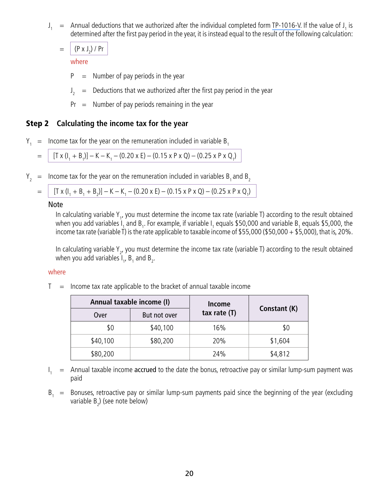$J_1$  = Annual deductions that we authorized after the individual completed form [TP-1016-V](http://www.revenu.gouv.qc.ca/en/sepf/formulaires/tp/tp-1016.aspx). If the value of  $J_1$  is determined after the first pay period in the year, it is instead equal to the result of the following calculation:

 $= | (P \times J_2) / Pr$ 

where

- $P =$  Number of pay periods in the year
- $J_2$  = Deductions that we authorized after the first pay period in the year
- $Pr =$  Number of pay periods remaining in the year

#### Step 2 **Calculating the income tax for the year**

 $Y_1$  = Income tax for the year on the remuneration included in variable B<sub>1</sub>

$$
= | [T \times (I_1 + B_1)] - K - K_1 - (0.20 \times E) - (0.15 \times P \times Q) - (0.25 \times P \times Q_1)
$$

 $Y_2$  = Income tax for the year on the remuneration included in variables B<sub>1</sub> and B<sub>2</sub>

|  | = $[T x (l1 + B1 + B2)] - K - K1 - (0.20 x E) - (0.15 x P x Q) - (0.25 x P x Q1)$ |
|--|-----------------------------------------------------------------------------------|
|--|-----------------------------------------------------------------------------------|

#### Note

In calculating variable Y<sub>1</sub>, you must determine the income tax rate (variable T) according to the result obtained when you add variables I<sub>1</sub> and B<sub>1</sub>. For example, if variable I<sub>1</sub> equals \$50,000 and variable B<sub>1</sub> equals \$5,000, the income tax rate (variable T) is the rate applicable to taxable income of \$55,000 (\$50,000 + \$5,000), that is, 20%.

In calculating variable Y<sub>2</sub>, you must determine the income tax rate (variable T) according to the result obtained when you add variables  $I_1$ ,  $B_1$  and  $B_2$ .

#### where

 $T =$  Income tax rate applicable to the bracket of annual taxable income

| Annual taxable income (I) |              | Income         |              |
|---------------------------|--------------|----------------|--------------|
| Over                      | But not over | tax rate $(T)$ | Constant (K) |
| \$0                       | \$40,100     | 16%            | 50           |
| \$40,100                  | \$80,200     | 20%            | \$1,604      |
| \$80,200                  |              | 24%            | \$4,812      |

- $I_1$  = Annual taxable income accrued to the date the bonus, retroactive pay or similar lump-sum payment was paid
- $B<sub>1</sub>$  = Bonuses, retroactive pay or similar lump-sum payments paid since the beginning of the year (excluding variable  $B_2$ ) (see note below)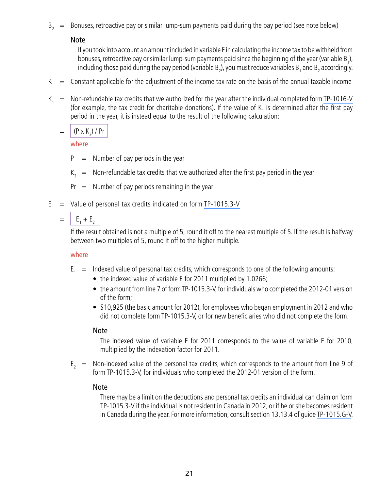$B<sub>2</sub>$  = Bonuses, retroactive pay or similar lump-sum payments paid during the pay period (see note below)

Note

If you took into account an amount included in variable F in calculating the income tax to be withheld from bonuses, retroactive pay or similar lump-sum payments paid since the beginning of the year (variable B<sub>1</sub>), including those paid during the pay period (variable B<sub>2</sub>), you must reduce variables B<sub>1</sub> and B<sub>2</sub> accordingly.

- $K =$  Constant applicable for the adjustment of the income tax rate on the basis of the annual taxable income
- $K<sub>1</sub>$  = Non-refundable tax credits that we authorized for the year after the individual completed form [TP-1016-V](http://www.revenu.gouv.qc.ca/en/sepf/formulaires/tp/tp-1016.aspx) (for example, the tax credit for charitable donations). If the value of  $K_{\frac{1}{2}}$  is determined after the first pay period in the year, it is instead equal to the result of the following calculation:

 $= | (P \times K_2) / P r$ 

where

- $P =$  Number of pay periods in the year
- $K<sub>2</sub>$  = Non-refundable tax credits that we authorized after the first pay period in the year
- $Pr =$  Number of pay periods remaining in the year
- $E =$  Value of personal tax credits indicated on form [TP-1015.3-V](http://www.revenu.gouv.qc.ca/en/sepf/formulaires/tp/tp-1015_3.aspx)

 $= |E_1 + E_2|$ 

If the result obtained is not a multiple of 5, round it off to the nearest multiple of 5. If the result is halfway between two multiples of 5, round it off to the higher multiple.

#### where

- $E_1$  = Indexed value of personal tax credits, which corresponds to one of the following amounts:
	- the indexed value of variable E for 2011 multiplied by 1.0266;
	- the amount from line 7 of form TP-1015.3-V, for individuals who completed the 2012-01 version of the form;
	- \$10,925 (the basic amount for 2012), for employees who began employment in 2012 and who did not complete form TP-1015.3-V, or for new beneficiaries who did not complete the form.

#### Note

The indexed value of variable E for 2011 corresponds to the value of variable E for 2010, multiplied by the indexation factor for 2011.

 $E<sub>2</sub>$  = Non-indexed value of the personal tax credits, which corresponds to the amount from line 9 of form TP-1015.3-V, for individuals who completed the 2012-01 version of the form.

#### Note

There may be a limit on the deductions and personal tax credits an individual can claim on form TP-1015.3-V if the individual is not resident in Canada in 2012, or if he or she becomes resident in Canada during the year. For more information, consult section 13.13.4 of guide [TP-1015.G-V.](http://www.revenu.gouv.qc.ca/en/sepf/formulaires/tp/tp-1015_g.aspx)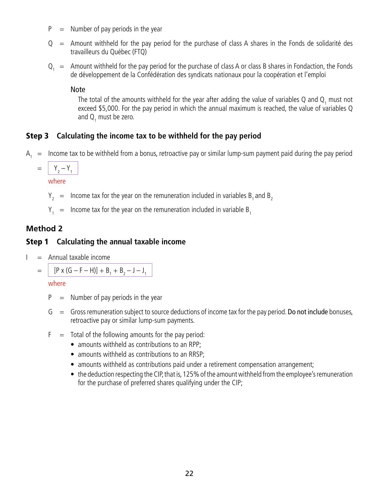- $P =$  Number of pay periods in the year
- $Q =$  Amount withheld for the pay period for the purchase of class A shares in the Fonds de solidarité des travailleurs du Québec (FTQ)
- $Q_1$  = Amount withheld for the pay period for the purchase of class A or class B shares in Fondaction, the Fonds de développement de la Confédération des syndicats nationaux pour la coopération et l'emploi

#### Note

The total of the amounts withheld for the year after adding the value of variables Q and  $Q_1$  must not exceed \$5,000. For the pay period in which the annual maximum is reached, the value of variables Q and  $Q_1$  must be zero.

# Step 3 **Calculating the income tax to be withheld for the pay period**

- $A<sub>1</sub>$  = Income tax to be withheld from a bonus, retroactive pay or similar lump-sum payment paid during the pay period
	- $= |Y_2 Y_1|$

where

- $Y_2$  = Income tax for the year on the remuneration included in variables B<sub>1</sub> and B<sub>2</sub>
- $Y_1$  = Income tax for the year on the remuneration included in variable  $B_1$

# **Method 2**

### Step 1 **Calculating the annual taxable income**

 $I =$  Annual taxable income

$$
= | [P \times (G - F - H)] + B_1 + B_2 - J - J_1
$$

- $P =$  Number of pay periods in the year
- $G =$  Gross remuneration subject to source deductions of income tax for the pay period. Do not include bonuses, retroactive pay or similar lump-sum payments.
- $F =$  Total of the following amounts for the pay period:
	- amounts withheld as contributions to an RPP;
	- amounts withheld as contributions to an RRSP;
	- amounts withheld as contributions paid under a retirement compensation arrangement;
	- the deduction respecting the CIP, that is, 125% of the amount withheld from the employee's remuneration for the purchase of preferred shares qualifying under the CIP;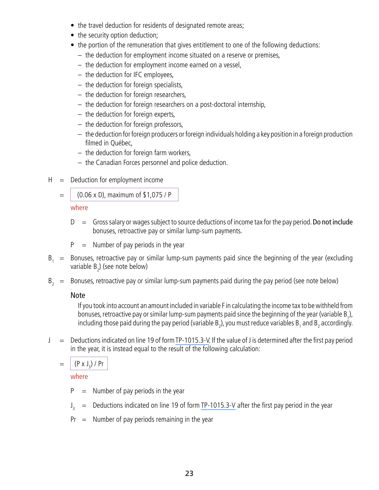- the travel deduction for residents of designated remote areas;
- the security option deduction;
- the portion of the remuneration that gives entitlement to one of the following deductions:
	- the deduction for employment income situated on a reserve or premises,
	- the deduction for employment income earned on a vessel,
	- the deduction for IFC employees,
	- the deduction for foreign specialists,
	- the deduction for foreign researchers,
	- the deduction for foreign researchers on a post-doctoral internship,
	- the deduction for foreign experts,
	- the deduction for foreign professors,
	- the deduction for foreign producers or foreign individuals holding a key position in a foreign production filmed in Québec,
	- the deduction for foreign farm workers,
	- the Canadian Forces personnel and police deduction.
- $H =$  Deduction for employment income
	- $=$   $(0.06 \times D)$ , maximum of \$1,075 / P

where

- $D =$  Gross salary or wages subject to source deductions of income tax for the pay period. Do not include bonuses, retroactive pay or similar lump-sum payments.
- $P =$  Number of pay periods in the year
- $B_1$  = Bonuses, retroactive pay or similar lump-sum payments paid since the beginning of the year (excluding variable  $B_2$ ) (see note below)
- $B<sub>2</sub>$  = Bonuses, retroactive pay or similar lump-sum payments paid during the pay period (see note below)

# Note

If you took into account an amount included in variable F in calculating the income tax to be withheld from bonuses, retroactive pay or similar lump-sum payments paid since the beginning of the year (variable B<sub>1</sub>), including those paid during the pay period (variable B<sub>2</sub>), you must reduce variables B<sub>1</sub> and B<sub>2</sub> accordingly.

 $J =$  Deductions indicated on line 19 of form [TP-1015.3-V.](http://www.revenu.gouv.qc.ca/en/sepf/formulaires/tp/tp-1015_3.aspx) If the value of J is determined after the first pay period in the year, it is instead equal to the result of the following calculation:

 $= | (P \times J_3) / Pr$ 

- $P =$  Number of pay periods in the year
- $J_3$  = Deductions indicated on line 19 of form [TP-1015.3-V](http://www.revenu.gouv.qc.ca/en/sepf/formulaires/tp/tp-1015_3.aspx) after the first pay period in the year
- $Pr =$  Number of pay periods remaining in the year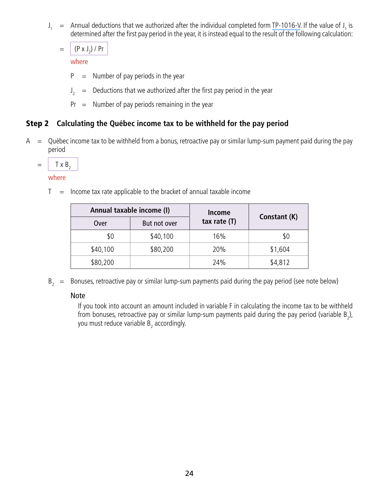$J_1$  = Annual deductions that we authorized after the individual completed form [TP-1016-V](http://www.revenu.gouv.qc.ca/en/sepf/formulaires/tp/tp-1016.aspx). If the value of  $J_1$  is determined after the first pay period in the year, it is instead equal to the result of the following calculation:

 $= | (P \times J_2) / Pr$ 

where

- $P =$  Number of pay periods in the year
- $J_2$  = Deductions that we authorized after the first pay period in the year
- $Pr =$  Number of pay periods remaining in the year

# Step 2 **Calculating the Québec income tax to be withheld for the pay period**

 $A = Q$ uébec income tax to be withheld from a bonus, retroactive pay or similar lump-sum payment paid during the pay period

$$
= | \quad \text{Tx B}_{2}
$$

where

 $T =$  Income tax rate applicable to the bracket of annual taxable income

| Annual taxable income (I) |              | Income         |              |
|---------------------------|--------------|----------------|--------------|
| Over                      | But not over | tax rate $(T)$ | Constant (K) |
| \$0                       | \$40,100     | 16%            | \$0          |
| \$40,100                  | \$80,200     | 20%            | \$1,604      |
| \$80,200                  |              | 24%            | \$4,812      |

 $B<sub>2</sub>$  = Bonuses, retroactive pay or similar lump-sum payments paid during the pay period (see note below)

#### Note

If you took into account an amount included in variable F in calculating the income tax to be withheld from bonuses, retroactive pay or similar lump-sum payments paid during the pay period (variable  $B_2$ ), you must reduce variable  $\mathsf{B}_2^{}$  accordingly.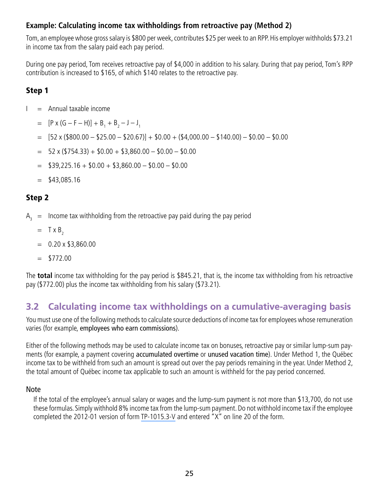#### <span id="page-24-0"></span>**Example: Calculating income tax withholdings from retroactive pay (Method 2)**

Tom, an employee whose gross salary is \$800 per week, contributes \$25 per week to an RPP. His employer withholds \$73.21 in income tax from the salary paid each pay period.

During one pay period, Tom receives retroactive pay of \$4,000 in addition to his salary. During that pay period, Tom's RPP contribution is increased to \$165, of which \$140 relates to the retroactive pay.

# Step 1

- $I =$  Annual taxable income
	- $= [P \times (G F H)] + B_1 + B_2 J J_1$
	- $=$  [52 x (\$800.00 \$25.00 \$20.67)] + \$0.00 + (\$4,000.00 \$140.00) \$0.00 \$0.00
	- $=$  52 x (\$754.33) + \$0.00 + \$3,860.00 \$0.00 \$0.00
	- $=$  \$39,225.16 + \$0.00 + \$3,860.00 \$0.00 \$0.00
	- $=$  \$43,085.16

# Step 2

 $A<sub>2</sub>$  = Income tax withholding from the retroactive pay paid during the pay period

- $=$  T x B<sub>2</sub>
- $= 0.20 \times $3,860.00$
- $=$  \$772.00

The **total** income tax withholding for the pay period is \$845.21, that is, the income tax withholding from his retroactive pay (\$772.00) plus the income tax withholding from his salary (\$73.21).

# **3.2 Calculating income tax withholdings on a cumulative-averaging basis**

You must use one of the following methods to calculate source deductions of income tax for employees whose remuneration varies (for example, employees who earn commissions).

Either of the following methods may be used to calculate income tax on bonuses, retroactive pay or similar lump-sum payments (for example, a payment covering accumulated overtime or unused vacation time). Under Method 1, the Québec income tax to be withheld from such an amount is spread out over the pay periods remaining in the year. Under Method 2, the total amount of Québec income tax applicable to such an amount is withheld for the pay period concerned.

#### Note

If the total of the employee's annual salary or wages and the lump-sum payment is not more than \$13,700, do not use these formulas. Simply withhold 8% income tax from the lump-sum payment. Do not withhold income tax if the employee completed the 2012-01 version of form [TP-1015.3-V](http://www.revenu.gouv.qc.ca/en/sepf/formulaires/tp/tp-1015_3.aspx) and entered "X" on line 20 of the form.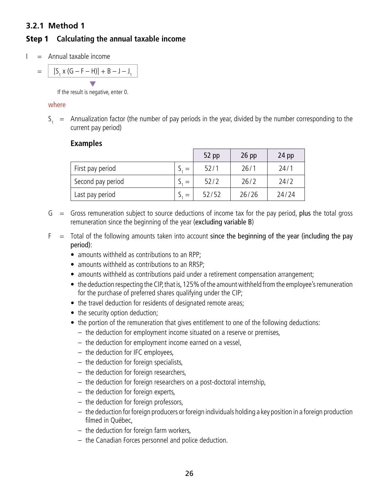#### <span id="page-25-0"></span>**3.2.1 Method 1**

# Step 1 **Calculating the annual taxable income**

 $I =$  Annual taxable income

$$
= \frac{[S_1 \times (G - F - H)] + B - J - J_1}{\sqrt{2 + 2J + K^2}}
$$

If the result is negative, enter 0.

#### where

 $S_1$  = Annualization factor (the number of pay periods in the year, divided by the number corresponding to the current pay period)

#### **Examples**

|                   | $52$ pp | $26$ pp | $24$ pp |
|-------------------|---------|---------|---------|
| First pay period  | 52/1    | 26/1    | 24/1    |
| Second pay period | 52/2    | 26/2    | 24/2    |
| Last pay period   | 52/52   | 26/26   | 24/24   |

- $G =$  Gross remuneration subject to source deductions of income tax for the pay period, plus the total gross remuneration since the beginning of the year (excluding variable B)
- $F =$  Total of the following amounts taken into account since the beginning of the year (including the pay period):
	- amounts withheld as contributions to an RPP;
	- amounts withheld as contributions to an RRSP;
	- amounts withheld as contributions paid under a retirement compensation arrangement;
	- the deduction respecting the CIP, that is, 125% of the amount withheld from the employee's remuneration for the purchase of preferred shares qualifying under the CIP;
	- the travel deduction for residents of designated remote areas;
	- the security option deduction;
	- the portion of the remuneration that gives entitlement to one of the following deductions:
		- the deduction for employment income situated on a reserve or premises,
		- the deduction for employment income earned on a vessel,
		- the deduction for IFC employees,
		- the deduction for foreign specialists,
		- the deduction for foreign researchers,
		- the deduction for foreign researchers on a post-doctoral internship,
		- the deduction for foreign experts,
		- the deduction for foreign professors,
		- the deduction for foreign producers or foreign individuals holding a key position in a foreign production filmed in Québec,
		- the deduction for foreign farm workers,
		- the Canadian Forces personnel and police deduction.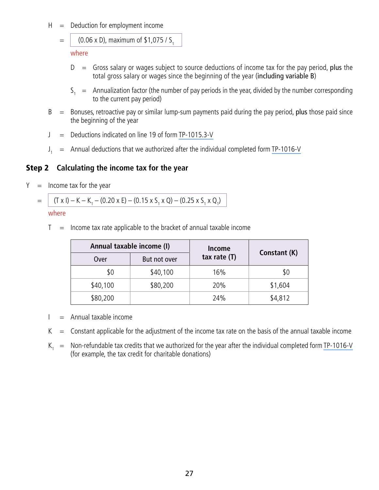- $H =$  Deduction for employment income
	- $=$  (0.06 x D), maximum of \$1,075 / S<sub>1</sub>

where

- $D =$  Gross salary or wages subject to source deductions of income tax for the pay period, plus the total gross salary or wages since the beginning of the year (including variable B)
- $S_1$  = Annualization factor (the number of pay periods in the year, divided by the number corresponding to the current pay period)
- $B =$  Bonuses, retroactive pay or similar lump-sum payments paid during the pay period, plus those paid since the beginning of the year
- $J =$  Deductions indicated on line 19 of form [TP-1015.3-V](http://www.revenu.gouv.qc.ca/en/sepf/formulaires/tp/tp-1015_3.aspx)
- $J_1$  = Annual deductions that we authorized after the individual completed form [TP-1016-V](http://www.revenu.gouv.qc.ca/en/sepf/formulaires/tp/tp-1016.aspx)

#### Step 2 **Calculating the income tax for the year**

 $Y =$  Income tax for the year

 $=$   $($  T x I) – K – K<sub>1</sub> – (0.20 x E) – (0.15 x S<sub>1</sub> x Q) – (0.25 x S<sub>1</sub> x Q<sub>1</sub>)

#### where

 $T =$  Income tax rate applicable to the bracket of annual taxable income

|          | Annual taxable income (I) | <b>Income</b>                  |         |
|----------|---------------------------|--------------------------------|---------|
| Over     | But not over              | Constant (K)<br>tax rate $(T)$ |         |
| \$0      | \$40,100                  | 16%                            | \$0     |
| \$40,100 | \$80,200                  | 20%                            | \$1,604 |
| \$80,200 |                           | 24%                            | \$4,812 |

- $I =$  Annual taxable income
- $K =$  Constant applicable for the adjustment of the income tax rate on the basis of the annual taxable income
- $K_1$  = Non-refundable tax credits that we authorized for the year after the individual completed form [TP-1016-V](http://www.revenu.gouv.qc.ca/en/sepf/formulaires/tp/tp-1016.aspx) (for example, the tax credit for charitable donations)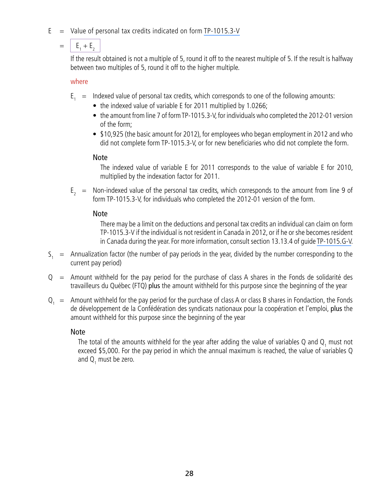$E =$  Value of personal tax credits indicated on form [TP-1015.3-V](http://www.revenu.gouv.qc.ca/en/sepf/formulaires/tp/tp-1015_3.aspx)

# $= |E_1 + E_2|$

If the result obtained is not a multiple of 5, round it off to the nearest multiple of 5. If the result is halfway between two multiples of 5, round it off to the higher multiple.

where

- $E_1$  = Indexed value of personal tax credits, which corresponds to one of the following amounts:
	- the indexed value of variable E for 2011 multiplied by 1.0266;
	- the amount from line 7 of form TP-1015.3-V, for individuals who completed the 2012-01 version of the form;
	- \$10,925 (the basic amount for 2012), for employees who began employment in 2012 and who did not complete form TP-1015.3-V, or for new beneficiaries who did not complete the form.

### Note

The indexed value of variable E for 2011 corresponds to the value of variable E for 2010, multiplied by the indexation factor for 2011.

 $E<sub>2</sub>$  = Non-indexed value of the personal tax credits, which corresponds to the amount from line 9 of form TP-1015.3-V, for individuals who completed the 2012-01 version of the form.

# Note

There may be a limit on the deductions and personal tax credits an individual can claim on form TP-1015.3-V if the individual is not resident in Canada in 2012, or if he or she becomes resident in Canada during the year. For more information, consult section 13.13.4 of guide [TP-1015.G-V.](http://www.revenu.gouv.qc.ca/en/sepf/formulaires/tp/tp-1015_g.aspx)

- $S_1$  = Annualization factor (the number of pay periods in the year, divided by the number corresponding to the current pay period)
- $Q =$  Amount withheld for the pay period for the purchase of class A shares in the Fonds de solidarité des travailleurs du Québec (FTQ) plus the amount withheld for this purpose since the beginning of the year
- $Q_1$  = Amount withheld for the pay period for the purchase of class A or class B shares in Fondaction, the Fonds de développement de la Confédération des syndicats nationaux pour la coopération et l'emploi, plus the amount withheld for this purpose since the beginning of the year

# Note

The total of the amounts withheld for the year after adding the value of variables Q and  $\mathsf{Q}_1$  must not exceed \$5,000. For the pay period in which the annual maximum is reached, the value of variables Q and  $Q_1$  must be zero.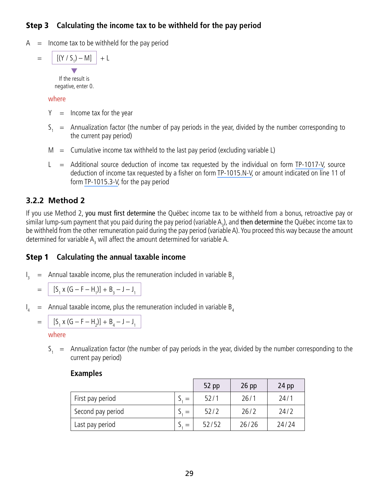# <span id="page-28-0"></span>Step 3 **Calculating the income tax to be withheld for the pay period**

 $A =$  Income tax to be withheld for the pay period

$$
= \left[ \frac{[(Y/S_1) - M]}{Y} \right] + L
$$

If the result is negative, enter 0.

#### where

- $Y =$  Income tax for the year
- $S_1$  = Annualization factor (the number of pay periods in the year, divided by the number corresponding to the current pay period)
- $M =$  Cumulative income tax withheld to the last pay period (excluding variable L)
- $L =$  Additional source deduction of income tax requested by the individual on form [TP-1017-V,](http://www.revenu.gouv.qc.ca/en/sepf/formulaires/tp/tp-1017.aspx) source deduction of income tax requested by a fisher on form [TP-1015.N-V,](http://www.revenu.gouv.qc.ca/en/sepf/formulaires/tp/tp-1015_n.aspx) or amount indicated on line 11 of form [TP-1015.3-V,](http://www.revenu.gouv.qc.ca/en/sepf/formulaires/tp/tp-1015_3.aspx) for the pay period

# **3.2.2 Method 2**

If you use Method 2, you must first determine the Québec income tax to be withheld from a bonus, retroactive pay or similar lump-sum payment that you paid during the pay period (variable A<sub>3</sub>), and **then determine** the Québec income tax to be withheld from the other remuneration paid during the pay period (variable A). You proceed this way because the amount determined for variable  $A_3$  will affect the amount determined for variable A.

# Step 1 **Calculating the annual taxable income**

 $\mathsf{I}_{\mathsf{I}}$  $=$  Annual taxable income, plus the remuneration included in variable  $B_3$ 

$$
= | [S_1 \times (G - F - H_1)] + B_3 - J - J_1 |
$$

 $\mathsf{I}_4$  $=$  Annual taxable income, plus the remuneration included in variable B<sub>4</sub>

$$
= \left[ [S_1 \times (G - F - H_2)] + B_4 - J - J_1 \right]
$$

where

 $S_1$  = Annualization factor (the number of pay periods in the year, divided by the number corresponding to the current pay period)

|                   | 52 pp | $26$ pp | $24$ pp |
|-------------------|-------|---------|---------|
| First pay period  | 52/1  | 26/1    | 24/1    |
| Second pay period | 52/2  | 26/2    | 24/2    |
| Last pay period   | 52/52 | 26/26   | 24/24   |

#### **Examples**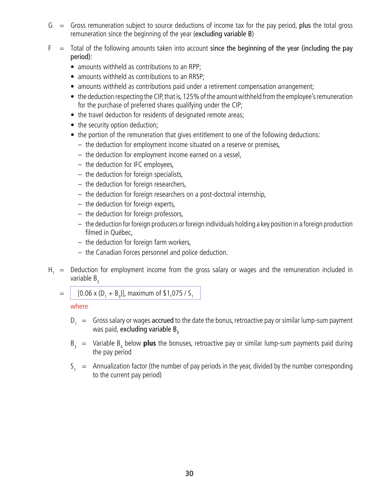- $G =$  Gross remuneration subject to source deductions of income tax for the pay period, plus the total gross remuneration since the beginning of the year (excluding variable B)
- $F =$  Total of the following amounts taken into account since the beginning of the year (including the pay period):
	- amounts withheld as contributions to an RPP;
	- amounts withheld as contributions to an RRSP;
	- amounts withheld as contributions paid under a retirement compensation arrangement;
	- the deduction respecting the CIP, that is, 125% of the amount withheld from the employee's remuneration for the purchase of preferred shares qualifying under the CIP;
	- the travel deduction for residents of designated remote areas;
	- the security option deduction;
	- the portion of the remuneration that gives entitlement to one of the following deductions:
		- the deduction for employment income situated on a reserve or premises,
		- the deduction for employment income earned on a vessel,
		- the deduction for IFC employees,
		- the deduction for foreign specialists,
		- the deduction for foreign researchers,
		- the deduction for foreign researchers on a post-doctoral internship,
		- the deduction for foreign experts,
		- the deduction for foreign professors,
		- the deduction for foreign producers or foreign individuals holding a key position in a foreign production filmed in Québec,
		- the deduction for foreign farm workers,
		- the Canadian Forces personnel and police deduction.
- $H_1$  = Deduction for employment income from the gross salary or wages and the remuneration included in variable  $B_3$ 
	- $=$  | [0.06 x (D<sub>1</sub> + B<sub>3</sub>)], maximum of \$1,075 / S<sub>1</sub>

- $D_1 = Gross salary$  or wages accrued to the date the bonus, retroactive pay or similar lump-sum payment was paid, excluding variable  $B_3$
- B<sub>3</sub> = Variable B<sub>4</sub> below **plus** the bonuses, retroactive pay or similar lump-sum payments paid during the pay period
- $S_1$  = Annualization factor (the number of pay periods in the year, divided by the number corresponding to the current pay period)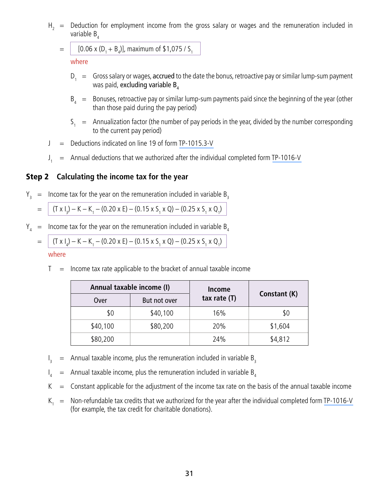$H<sub>2</sub>$  = Deduction for employment income from the gross salary or wages and the remuneration included in variable  $B_{4}$ 

$$
= | [0.06 \times (D_1 + B_4)], \text{ maximum of } $1,075 / S_1
$$

where

- $D_1 = Gross salary$  or wages, accrued to the date the bonus, retroactive pay or similar lump-sum payment was paid, excluding variable  $B_{4}$
- $B_{4}$  = Bonuses, retroactive pay or similar lump-sum payments paid since the beginning of the year (other than those paid during the pay period)
- $S_1$  = Annualization factor (the number of pay periods in the year, divided by the number corresponding to the current pay period)
- $J =$  Deductions indicated on line 19 of form [TP-1015.3-V](http://www.revenu.gouv.qc.ca/en/sepf/formulaires/tp/tp-1015_3.aspx)
- $J_{\star}$  $=$  Annual deductions that we authorized after the individual completed form [TP-1016-V](http://www.revenu.gouv.qc.ca/en/sepf/formulaires/tp/tp-1016.aspx)

#### Step 2 **Calculating the income tax for the year**

 $Y_3$  = Income tax for the year on the remuneration included in variable B<sub>3</sub>

$$
= (T \times I_3) - K - K_1 - (0.20 \times E) - (0.15 \times S_1 \times Q) - (0.25 \times S_1 \times Q_1)
$$

 $Y_4$  = Income tax for the year on the remuneration included in variable  $B_4$ 

$$
= (T \times I_4) - K - K_1 - (0.20 \times E) - (0.15 \times S_1 \times Q) - (0.25 \times S_1 \times Q_1)
$$

where

 $T =$  Income tax rate applicable to the bracket of annual taxable income

| Annual taxable income (I) |              | Income                         |         |
|---------------------------|--------------|--------------------------------|---------|
| Over                      | But not over | Constant (K)<br>tax rate $(T)$ |         |
| \$0                       | \$40,100     | 16%                            | \$0     |
| \$40,100                  | \$80,200     | 20%                            | \$1,604 |
| \$80,200                  |              | 24%                            | \$4,812 |

- $\mathsf{l}$  $=$  Annual taxable income, plus the remuneration included in variable B<sub>3</sub>
- $\mathsf{I}_{\scriptscriptstyle{A}}$  $=$  Annual taxable income, plus the remuneration included in variable  $B_4$
- $K =$  Constant applicable for the adjustment of the income tax rate on the basis of the annual taxable income
- $K_1$  = Non-refundable tax credits that we authorized for the year after the individual completed form TP-1016-V (for example, the tax credit for charitable donations).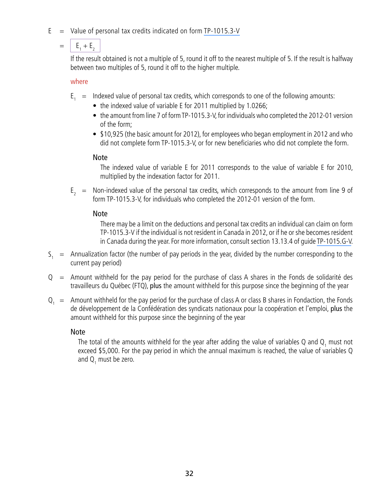$E =$  Value of personal tax credits indicated on form [TP-1015.3-V](http://www.revenu.gouv.qc.ca/en/sepf/formulaires/tp/tp-1015_3.aspx)

# $= |E_1 + E_2|$

If the result obtained is not a multiple of 5, round it off to the nearest multiple of 5. If the result is halfway between two multiples of 5, round it off to the higher multiple.

where

- $E_1$  = Indexed value of personal tax credits, which corresponds to one of the following amounts:
	- the indexed value of variable E for 2011 multiplied by 1.0266;
	- the amount from line 7 of form TP-1015.3-V, for individuals who completed the 2012-01 version of the form;
	- \$10,925 (the basic amount for 2012), for employees who began employment in 2012 and who did not complete form TP-1015.3-V, or for new beneficiaries who did not complete the form.

### Note

The indexed value of variable E for 2011 corresponds to the value of variable E for 2010, multiplied by the indexation factor for 2011.

 $E<sub>2</sub>$  = Non-indexed value of the personal tax credits, which corresponds to the amount from line 9 of form TP-1015.3-V, for individuals who completed the 2012-01 version of the form.

# Note

There may be a limit on the deductions and personal tax credits an individual can claim on form TP-1015.3-V if the individual is not resident in Canada in 2012, or if he or she becomes resident in Canada during the year. For more information, consult section 13.13.4 of guide [TP-1015.G-V.](http://www.revenu.gouv.qc.ca/en/sepf/formulaires/tp/tp-1015_g.aspx)

- $S_1$  = Annualization factor (the number of pay periods in the year, divided by the number corresponding to the current pay period)
- $Q =$  Amount withheld for the pay period for the purchase of class A shares in the Fonds de solidarité des travailleurs du Québec (FTQ), plus the amount withheld for this purpose since the beginning of the year
- $Q_1$  = Amount withheld for the pay period for the purchase of class A or class B shares in Fondaction, the Fonds de développement de la Confédération des syndicats nationaux pour la coopération et l'emploi, plus the amount withheld for this purpose since the beginning of the year

# Note

The total of the amounts withheld for the year after adding the value of variables Q and  $\mathsf{Q}_1$  must not exceed \$5,000. For the pay period in which the annual maximum is reached, the value of variables Q and  $Q_1$  must be zero.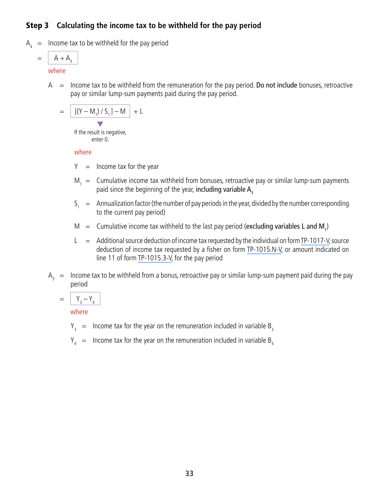# Step 3 **Calculating the income tax to be withheld for the pay period**

 $A_4$  = Income tax to be withheld for the pay period

$$
= \boxed{A + A_3}
$$

#### where

 $A =$  Income tax to be withheld from the remuneration for the pay period. Do not include bonuses, retroactive pay or similar lump-sum payments paid during the pay period.

$$
= \left[ \frac{[(Y - M_1) / S_1] - M}{\bullet} \right] + L
$$

If the result is negative, enter 0.

#### where

- $Y =$  Income tax for the year
- $M_1$  = Cumulative income tax withheld from bonuses, retroactive pay or similar lump-sum payments paid since the beginning of the year, including variable A<sub>2</sub>
- $S_1 =$  Annualization factor (the number of pay periods in the year, divided by the number corresponding to the current pay period)
- $M =$  Cumulative income tax withheld to the last pay period (excluding variables L and  $M_{1}$ )
- $L =$  Additional source deduction of income tax requested by the individual on form [TP-1017-V,](http://www.revenu.gouv.qc.ca/en/sepf/formulaires/tp/tp-1017.aspx) source deduction of income tax requested by a fisher on form [TP-1015.N-V,](http://www.revenu.gouv.qc.ca/en/sepf/formulaires/tp/tp-1015_n.aspx) or amount indicated on line 11 of form [TP-1015.3-V](http://www.revenu.gouv.qc.ca/en/sepf/formulaires/tp/tp-1015_3.aspx), for the pay period
- $A_2$  = Income tax to be withheld from a bonus, retroactive pay or similar lump-sum payment paid during the pay period

$$
= \boxed{Y_3 - Y_4}
$$

- $Y_3$  = Income tax for the year on the remuneration included in variable B<sub>3</sub>
- $Y_{4}$  = Income tax for the year on the remuneration included in variable B<sub>4</sub>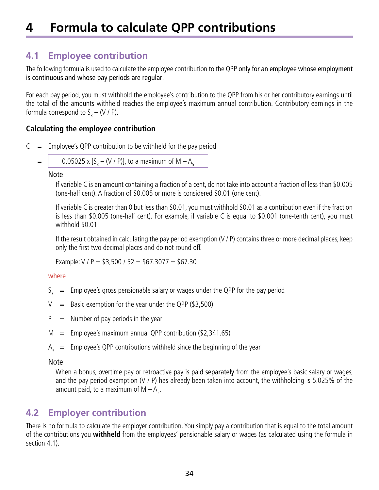# <span id="page-33-0"></span>**4 Formula to calculate QPP contributions**

# **4.1 Employee contribution**

The following formula is used to calculate the employee contribution to the QPP only for an employee whose employment is continuous and whose pay periods are regular.

For each pay period, you must withhold the employee's contribution to the QPP from his or her contributory earnings until the total of the amounts withheld reaches the employee's maximum annual contribution. Contributory earnings in the formula correspond to S<sub>3</sub> – (V / P).

### **Calculating the employee contribution**

 $C =$  Employee's QPP contribution to be withheld for the pay period

$$
= 0.05025 \times 5
$$

 $=$  | 0.05025 x [S<sub>3</sub>  $-$  (V / P)], to a maximum of M  $-$  A<sub>5</sub>

#### Note

If variable C is an amount containing a fraction of a cent, do not take into account a fraction of less than \$0.005 (one-half cent). A fraction of \$0.005 or more is considered \$0.01 (one cent).

If variable C is greater than 0 but less than \$0.01, you must withhold \$0.01 as a contribution even if the fraction is less than \$0.005 (one-half cent). For example, if variable C is equal to \$0.001 (one-tenth cent), you must withhold \$0.01.

If the result obtained in calculating the pay period exemption (V / P) contains three or more decimal places, keep only the first two decimal places and do not round off.

Example:  $V / P = $3,500 / 52 = $67.3077 = $67.30$ 

#### where

- $S_3$  = Employee's gross pensionable salary or wages under the QPP for the pay period
- $V =$  Basic exemption for the year under the QPP (\$3,500)
- $P =$  Number of pay periods in the year
- $M =$  Employee's maximum annual QPP contribution (\$2,341.65)
- $A_5$  = Employee's QPP contributions withheld since the beginning of the year

#### Note

When a bonus, overtime pay or retroactive pay is paid separately from the employee's basic salary or wages, and the pay period exemption (V / P) has already been taken into account, the withholding is 5.025% of the amount paid, to a maximum of  $M - A_{5}$ .

# **4.2 Employer contribution**

There is no formula to calculate the employer contribution. You simply pay a contribution that is equal to the total amount of the contributions you **withheld** from the employees' pensionable salary or wages (as calculated using the formula in section 4.1).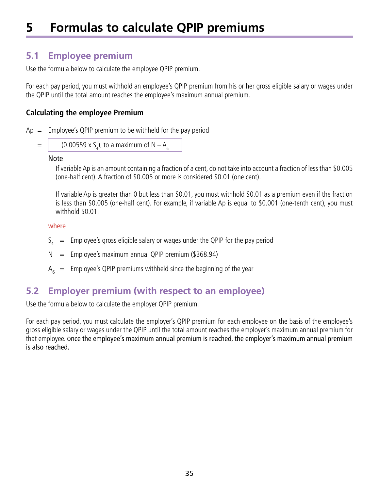# <span id="page-34-0"></span>**5 Formulas to calculate QPIP premiums**

# **5.1 Employee premium**

Use the formula below to calculate the employee QPIP premium.

For each pay period, you must withhold an employee's QPIP premium from his or her gross eligible salary or wages under the QPIP until the total amount reaches the employee's maximum annual premium.

#### **Calculating the employee Premium**

 $Ap = Employee's QPIP premium to be withheld for the pay period$ 

 $=$   $\vert$  (0.00559 x S<sub>4</sub>), to a maximum of N  $-$  A<sub>6</sub>

#### Note

If variable Ap is an amount containing a fraction of a cent, do not take into account a fraction of less than \$0.005 (one-half cent). A fraction of \$0.005 or more is considered \$0.01 (one cent).

If variable Ap is greater than 0 but less than \$0.01, you must withhold \$0.01 as a premium even if the fraction is less than \$0.005 (one-half cent). For example, if variable Ap is equal to \$0.001 (one-tenth cent), you must withhold \$0.01.

where

- $\mathsf{S}_{\mathsf{4}}$  = Employee's gross eligible salary or wages under the QPIP for the pay period
- $N =$  Employee's maximum annual QPIP premium (\$368.94)
- $A_6$  = Employee's QPIP premiums withheld since the beginning of the year

# **5.2 Employer premium (with respect to an employee)**

Use the formula below to calculate the employer QPIP premium.

For each pay period, you must calculate the employer's QPIP premium for each employee on the basis of the employee's gross eligible salary or wages under the QPIP until the total amount reaches the employer's maximum annual premium for that employee. Once the employee's maximum annual premium is reached, the employer's maximum annual premium is also reached.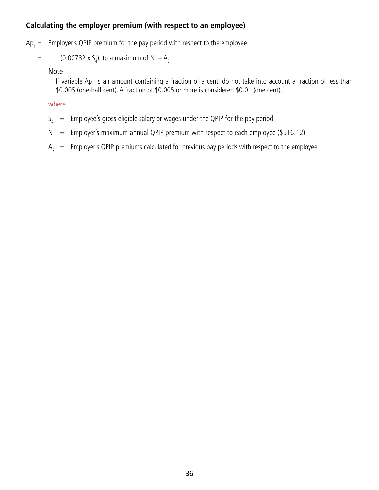### **Calculating the employer premium (with respect to an employee)**

 $Ap_1 =$  Employer's QPIP premium for the pay period with respect to the employee

= 
$$
(0.00782 \times S_4)
$$
, to a maximum of N<sub>1</sub> – A<sub>7</sub>

#### Note

If variable Ap<sub>1</sub> is an amount containing a fraction of a cent, do not take into account a fraction of less than \$0.005 (one-half cent). A fraction of \$0.005 or more is considered \$0.01 (one cent).

- $S_4$  = Employee's gross eligible salary or wages under the QPIP for the pay period
- $N_1 =$  Employer's maximum annual QPIP premium with respect to each employee (\$516.12)
- $A_7$  = Employer's QPIP premiums calculated for previous pay periods with respect to the employee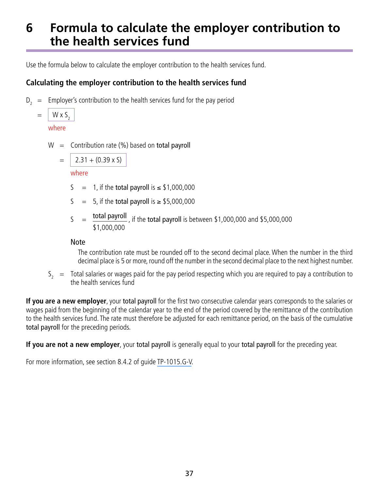# <span id="page-36-0"></span>**6 Formula to calculate the employer contribution to the health services fund**

Use the formula below to calculate the employer contribution to the health services fund.

# **Calculating the employer contribution to the health services fund**

 $D_2$  = Employer's contribution to the health services fund for the pay period

$$
= \frac{W \times S_2}{\text{where}}
$$

where

 $W =$  Contribution rate (%) based on total payroll

$$
= 2.31 + (0.39 \times S)
$$

where

- $S = 1$ , if the total payroll is  $\leq$  \$1,000,000
- S = 5, if the total payroll is  $\ge$  \$5,000,000
- $S =$  total payroll, if the total payroll is between \$1,000,000 and \$5,000,000 \$1,000,000

#### Note

The contribution rate must be rounded off to the second decimal place. When the number in the third decimal place is 5 or more, round off the number in the second decimal place to the next highest number.

 $S<sub>z</sub> =$  Total salaries or wages paid for the pay period respecting which you are required to pay a contribution to the health services fund

**If you are a new employer**, your total payroll for the first two consecutive calendar years corresponds to the salaries or wages paid from the beginning of the calendar year to the end of the period covered by the remittance of the contribution to the health services fund. The rate must therefore be adjusted for each remittance period, on the basis of the cumulative total payroll for the preceding periods.

**If you are not a new employer**, your total payroll is generally equal to your total payroll for the preceding year.

For more information, see section 8.4.2 of guide [TP-1015.G-V](http://www.revenu.gouv.qc.ca/en/sepf/formulaires/tp/tp-1015_g.aspx).